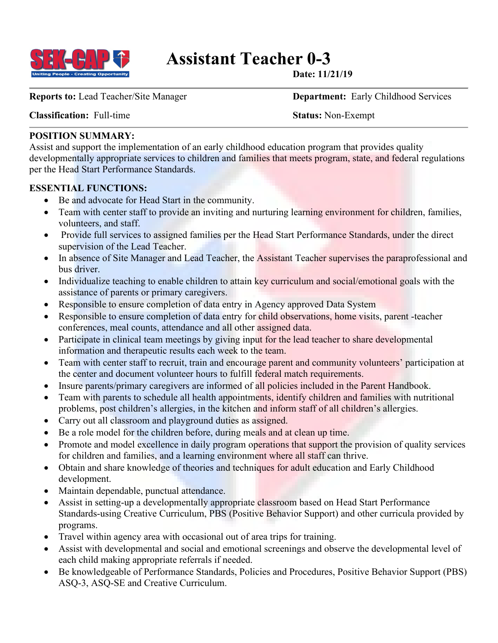

# **Assistant Teacher 0-3**<br>
Date: 11/21/19

**Classification:** Full-time **Status:** Non-Exempt

**Reports to:** Lead Teacher/Site Manager **Department:** Early Childhood Services

# **POSITION SUMMARY:**

Assist and support the implementation of an early childhood education program that provides quality developmentally appropriate services to children and families that meets program, state, and federal regulations per the Head Start Performance Standards.

## **ESSENTIAL FUNCTIONS:**

- Be and advocate for Head Start in the community.
- Team with center staff to provide an inviting and nurturing learning environment for children, families, volunteers, and staff.
- Provide full services to assigned families per the Head Start Performance Standards, under the direct supervision of the Lead Teacher.
- In absence of Site Manager and Lead Teacher, the Assistant Teacher supervises the paraprofessional and bus driver.
- Individualize teaching to enable children to attain key curriculum and social/emotional goals with the assistance of parents or primary caregivers.
- Responsible to ensure completion of data entry in Agency approved Data System
- Responsible to ensure completion of data entry for child observations, home visits, parent -teacher conferences, meal counts, attendance and all other assigned data.
- Participate in clinical team meetings by giving input for the lead teacher to share developmental information and therapeutic results each week to the team.
- Team with center staff to recruit, train and encourage parent and community volunteers' participation at the center and document volunteer hours to fulfill federal match requirements.
- Insure parents/primary caregivers are informed of all policies included in the Parent Handbook.
- Team with parents to schedule all health appointments, identify children and families with nutritional problems, post children's allergies, in the kitchen and inform staff of all children's allergies.
- Carry out all classroom and playground duties as assigned.
- Be a role model for the children before, during meals and at clean up time.
- Promote and model excellence in daily program operations that support the provision of quality services for children and families, and a learning environment where all staff can thrive.
- Obtain and share knowledge of theories and techniques for adult education and Early Childhood development.
- Maintain dependable, punctual attendance.
- Assist in setting-up a developmentally appropriate classroom based on Head Start Performance Standards-using Creative Curriculum, PBS (Positive Behavior Support) and other curricula provided by programs.
- Travel within agency area with occasional out of area trips for training.
- Assist with developmental and social and emotional screenings and observe the developmental level of each child making appropriate referrals if needed.
- Be knowledgeable of Performance Standards, Policies and Procedures, Positive Behavior Support (PBS) ASQ-3, ASQ-SE and Creative Curriculum.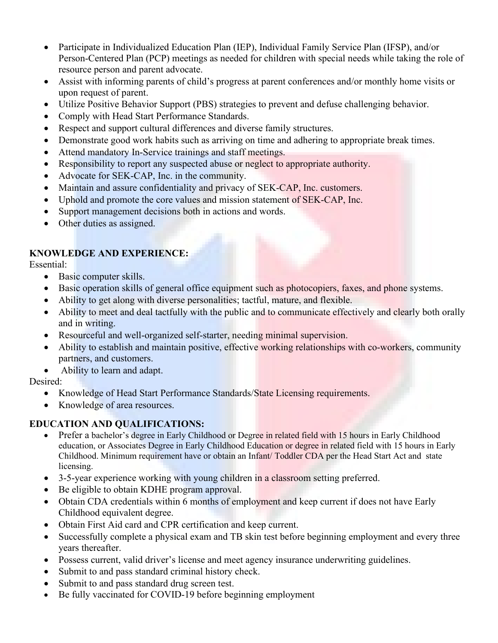- Participate in Individualized Education Plan (IEP), Individual Family Service Plan (IFSP), and/or Person-Centered Plan (PCP) meetings as needed for children with special needs while taking the role of resource person and parent advocate.
- Assist with informing parents of child's progress at parent conferences and/or monthly home visits or upon request of parent.
- Utilize Positive Behavior Support (PBS) strategies to prevent and defuse challenging behavior.
- Comply with Head Start Performance Standards.
- Respect and support cultural differences and diverse family structures.
- Demonstrate good work habits such as arriving on time and adhering to appropriate break times.
- Attend mandatory In-Service trainings and staff meetings.
- Responsibility to report any suspected abuse or neglect to appropriate authority.
- Advocate for SEK-CAP, Inc. in the community.
- Maintain and assure confidentiality and privacy of SEK-CAP, Inc. customers.
- Uphold and promote the core values and mission statement of SEK-CAP, Inc.
- Support management decisions both in actions and words.
- Other duties as assigned.

# **KNOWLEDGE AND EXPERIENCE:**

Essential:

- Basic computer skills.
- Basic operation skills of general office equipment such as photocopiers, faxes, and phone systems.
- Ability to get along with diverse personalities; tactful, mature, and flexible.
- Ability to meet and deal tactfully with the public and to communicate effectively and clearly both orally and in writing.
- Resourceful and well-organized self-starter, needing minimal supervision.
- Ability to establish and maintain positive, effective working relationships with co-workers, community partners, and customers.
- Ability to learn and adapt.

## Desired:

- Knowledge of Head Start Performance Standards/State Licensing requirements.
- Knowledge of area resources.

## **EDUCATION AND QUALIFICATIONS:**

- Prefer a bachelor's degree in Early Childhood or Degree in related field with 15 hours in Early Childhood education, or Associates Degree in Early Childhood Education or degree in related field with 15 hours in Early Childhood. Minimum requirement have or obtain an Infant/ Toddler CDA per the Head Start Act and state licensing.
- 3-5-year experience working with young children in a classroom setting preferred.
- Be eligible to obtain KDHE program approval.
- Obtain CDA credentials within 6 months of employment and keep current if does not have Early Childhood equivalent degree.
- Obtain First Aid card and CPR certification and keep current.
- Successfully complete a physical exam and TB skin test before beginning employment and every three years thereafter.
- Possess current, valid driver's license and meet agency insurance underwriting guidelines.
- Submit to and pass standard criminal history check.
- Submit to and pass standard drug screen test.
- Be fully vaccinated for COVID-19 before beginning employment